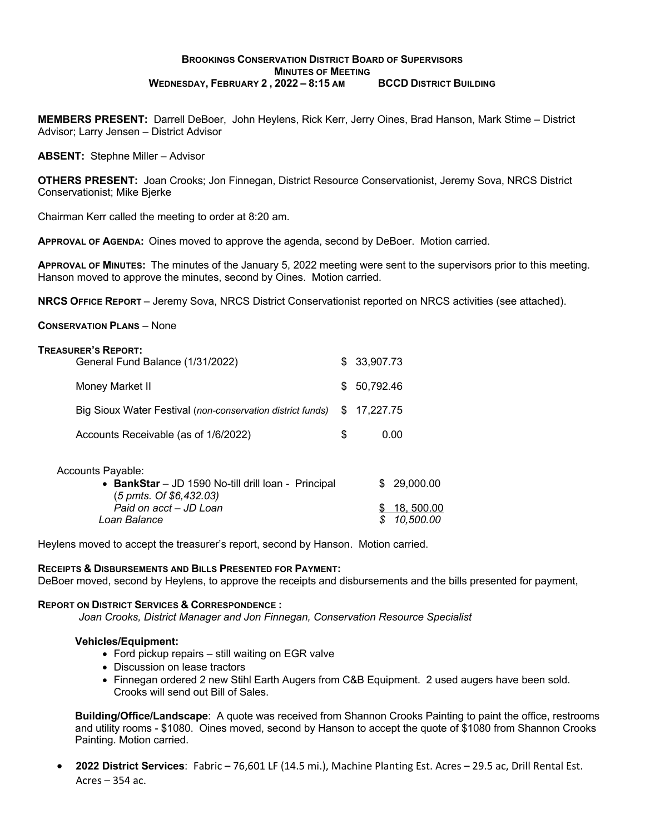## **BROOKINGS CONSERVATION DISTRICT BOARD OF SUPERVISORS MINUTES OF MEETING WEDNESDAY, FEBRUARY 2 , 2022 – 8:15 AM BCCD DISTRICT BUILDING**

**MEMBERS PRESENT:** Darrell DeBoer, John Heylens, Rick Kerr, Jerry Oines, Brad Hanson, Mark Stime – District Advisor; Larry Jensen – District Advisor

**ABSENT:** Stephne Miller – Advisor

**OTHERS PRESENT:** Joan Crooks; Jon Finnegan, District Resource Conservationist, Jeremy Sova, NRCS District Conservationist; Mike Bjerke

Chairman Kerr called the meeting to order at 8:20 am.

**APPROVAL OF AGENDA:** Oines moved to approve the agenda, second by DeBoer. Motion carried.

**APPROVAL OF MINUTES:** The minutes of the January 5, 2022 meeting were sent to the supervisors prior to this meeting. Hanson moved to approve the minutes, second by Oines. Motion carried.

**NRCS OFFICE REPORT** – Jeremy Sova, NRCS District Conservationist reported on NRCS activities (see attached).

### **CONSERVATION PLANS** – None

| <b>TREASURER'S REPORT:</b>                                 |     |              |
|------------------------------------------------------------|-----|--------------|
| General Fund Balance (1/31/2022)                           |     | \$ 33,907.73 |
| Money Market II                                            | SS. | 50,792.46    |
| Big Sioux Water Festival (non-conservation district funds) |     | \$17,227.75  |
| Accounts Receivable (as of 1/6/2022)                       | S   | 0.00         |
|                                                            |     |              |

| Accounts Payable:                                   |              |
|-----------------------------------------------------|--------------|
| • BankStar – JD 1590 No-till drill loan - Principal | \$ 29,000,00 |
| $(5 \text{ pmts. Of } $6,432.03)$                   |              |
| Paid on acct - JD Loan                              | \$18,500.00  |
| Loan Balance                                        | \$10,500.00  |
|                                                     |              |

Heylens moved to accept the treasurer's report, second by Hanson. Motion carried.

#### **RECEIPTS & DISBURSEMENTS AND BILLS PRESENTED FOR PAYMENT:**

DeBoer moved, second by Heylens, to approve the receipts and disbursements and the bills presented for payment,

#### **REPORT ON DISTRICT SERVICES & CORRESPONDENCE :**

*Joan Crooks, District Manager and Jon Finnegan, Conservation Resource Specialist*

## **Vehicles/Equipment:**

- Ford pickup repairs still waiting on EGR valve
- Discussion on lease tractors
- Finnegan ordered 2 new Stihl Earth Augers from C&B Equipment. 2 used augers have been sold. Crooks will send out Bill of Sales.

**Building/Office/Landscape**: A quote was received from Shannon Crooks Painting to paint the office, restrooms and utility rooms - \$1080. Oines moved, second by Hanson to accept the quote of \$1080 from Shannon Crooks Painting. Motion carried.

• **2022 District Services**: Fabric – 76,601 LF (14.5 mi.), Machine Planting Est. Acres – 29.5 ac, Drill Rental Est. Acres – 354 ac.